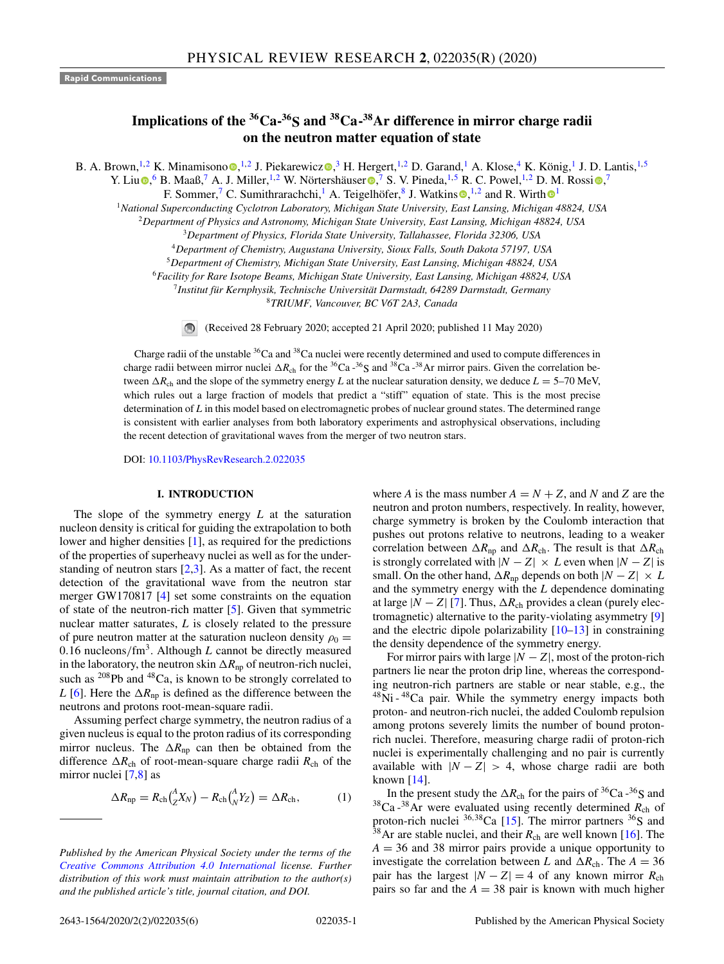## **Rapid Communications**

# **Implications of the <sup>36</sup>Ca-<sup>36</sup>S and <sup>38</sup>Ca-<sup>38</sup>Ar difference in mirror charge radii on the neutron matter equation of state**

B. A. Brown, <sup>1,2</sup> K. Minamisono **0**, <sup>1,2</sup> J. Piekarewicz **0**,<sup>3</sup> H. Hergert, <sup>1,2</sup> D. Garand,<sup>1</sup> A. Klose,<sup>4</sup> K. König,<sup>1</sup> J. D. Lantis, <sup>1,5</sup>

Y. Liu $\Phi$ , 6 B. Maaß, <sup>7</sup> A. J. Miller, <sup>1,2</sup> W. Nörtershäuser  $\Phi$ , <sup>7</sup> S. V. Pineda, <sup>1,5</sup> R. C. Powel, <sup>1,2</sup> D. M. Rossi  $\Phi$ ,

F. Sommer,<sup>7</sup> C. Sumithrarachchi, <sup>1</sup> A. Teigelhöfer, <sup>8</sup> J. Watkins  $\bullet$ , <sup>1,2</sup> and R. Wirth  $\bullet$ <sup>1</sup>

<sup>1</sup>*National Superconducting Cyclotron Laboratory, Michigan State University, East Lansing, Michigan 48824, USA*

<sup>2</sup>*Department of Physics and Astronomy, Michigan State University, East Lansing, Michigan 48824, USA*

<sup>3</sup>*Department of Physics, Florida State University, Tallahassee, Florida 32306, USA*

<sup>4</sup>*Department of Chemistry, Augustana University, Sioux Falls, South Dakota 57197, USA*

<sup>5</sup>*Department of Chemistry, Michigan State University, East Lansing, Michigan 48824, USA*

<sup>6</sup>*Facility for Rare Isotope Beams, Michigan State University, East Lansing, Michigan 48824, USA*

7 *Institut für Kernphysik, Technische Universität Darmstadt, 64289 Darmstadt, Germany*

<sup>8</sup>*TRIUMF, Vancouver, BC V6T 2A3, Canada*

(Received 28 February 2020; accepted 21 April 2020; published 11 May 2020)

Charge radii of the unstable <sup>36</sup>Ca and <sup>38</sup>Ca nuclei were recently determined and used to compute differences in charge radii between mirror nuclei  $\Delta R_{ch}$  for the <sup>36</sup>Ca -<sup>36</sup>S and <sup>38</sup>Ca -<sup>38</sup>Ar mirror pairs. Given the correlation between  $\Delta R_{ch}$  and the slope of the symmetry energy *L* at the nuclear saturation density, we deduce  $L = 5-70$  MeV, which rules out a large fraction of models that predict a "stiff" equation of state. This is the most precise determination of *L* in this model based on electromagnetic probes of nuclear ground states. The determined range is consistent with earlier analyses from both laboratory experiments and astrophysical observations, including the recent detection of gravitational waves from the merger of two neutron stars.

DOI: 10.1103/PhysRevResearch.2.022035

#### **I. INTRODUCTION**

The slope of the symmetry energy *L* at the saturation nucleon density is critical for guiding the extrapolation to both lower and higher densities [1], as required for the predictions of the properties of superheavy nuclei as well as for the understanding of neutron stars  $[2,3]$ . As a matter of fact, the recent detection of the gravitational wave from the neutron star merger GW170817 [4] set some constraints on the equation of state of the neutron-rich matter [5]. Given that symmetric nuclear matter saturates, *L* is closely related to the pressure of pure neutron matter at the saturation nucleon density  $\rho_0 =$ 0.16 nucleons/ $\text{fm}^3$ . Although *L* cannot be directly measured in the laboratory, the neutron skin  $\Delta R_{\text{np}}$  of neutron-rich nuclei, such as <sup>208</sup>Pb and <sup>48</sup>Ca, is known to be strongly correlated to *L* [6]. Here the  $\Delta R_{\text{np}}$  is defined as the difference between the neutrons and protons root-mean-square radii.

Assuming perfect charge symmetry, the neutron radius of a given nucleus is equal to the proton radius of its corresponding mirror nucleus. The  $\Delta R_{\text{np}}$  can then be obtained from the difference  $\Delta R_{ch}$  of root-mean-square charge radii  $R_{ch}$  of the mirror nuclei [7,8] as

$$
\Delta R_{\rm np} = R_{\rm ch} \left(\frac{A}{Z} X_N\right) - R_{\rm ch} \left(\frac{A}{N} Y_Z\right) = \Delta R_{\rm ch},\tag{1}
$$

where *A* is the mass number  $A = N + Z$ , and *N* and *Z* are the neutron and proton numbers, respectively. In reality, however, charge symmetry is broken by the Coulomb interaction that pushes out protons relative to neutrons, leading to a weaker correlation between  $\Delta R_{\text{np}}$  and  $\Delta R_{\text{ch}}$ . The result is that  $\Delta R_{\text{ch}}$ is strongly correlated with  $|N - Z| \times L$  even when  $|N - Z|$  is small. On the other hand,  $\Delta R_{np}$  depends on both  $|N - Z| \times L$ and the symmetry energy with the *L* dependence dominating at large  $|N - Z|$  [7]. Thus,  $\Delta R_{ch}$  provides a clean (purely electromagnetic) alternative to the parity-violating asymmetry [9] and the electric dipole polarizability [10–13] in constraining the density dependence of the symmetry energy.

For mirror pairs with large  $|N - Z|$ , most of the proton-rich partners lie near the proton drip line, whereas the corresponding neutron-rich partners are stable or near stable, e.g., the <sup>48</sup>Ni - <sup>48</sup>Ca pair. While the symmetry energy impacts both proton- and neutron-rich nuclei, the added Coulomb repulsion among protons severely limits the number of bound protonrich nuclei. Therefore, measuring charge radii of proton-rich nuclei is experimentally challenging and no pair is currently available with  $|N - Z| > 4$ , whose charge radii are both known [14].

In the present study the  $\Delta R_{ch}$  for the pairs of <sup>36</sup>Ca -<sup>36</sup>S and  $38$ Ca - $38$ Ar were evaluated using recently determined  $R_{ch}$  of proton-rich nuclei  ${}^{36,38}$ Ca [15]. The mirror partners  ${}^{36}$ S and  $38$ Ar are stable nuclei, and their  $R_{ch}$  are well known [16]. The  $A = 36$  and 38 mirror pairs provide a unique opportunity to investigate the correlation between *L* and  $\Delta R_{ch}$ . The  $A = 36$ pair has the largest  $|N - Z| = 4$  of any known mirror  $R_{ch}$ pairs so far and the  $A = 38$  pair is known with much higher

*Published by the American Physical Society under the terms of the Creative Commons Attribution 4.0 International license. Further distribution of this work must maintain attribution to the author(s) and the published article's title, journal citation, and DOI.*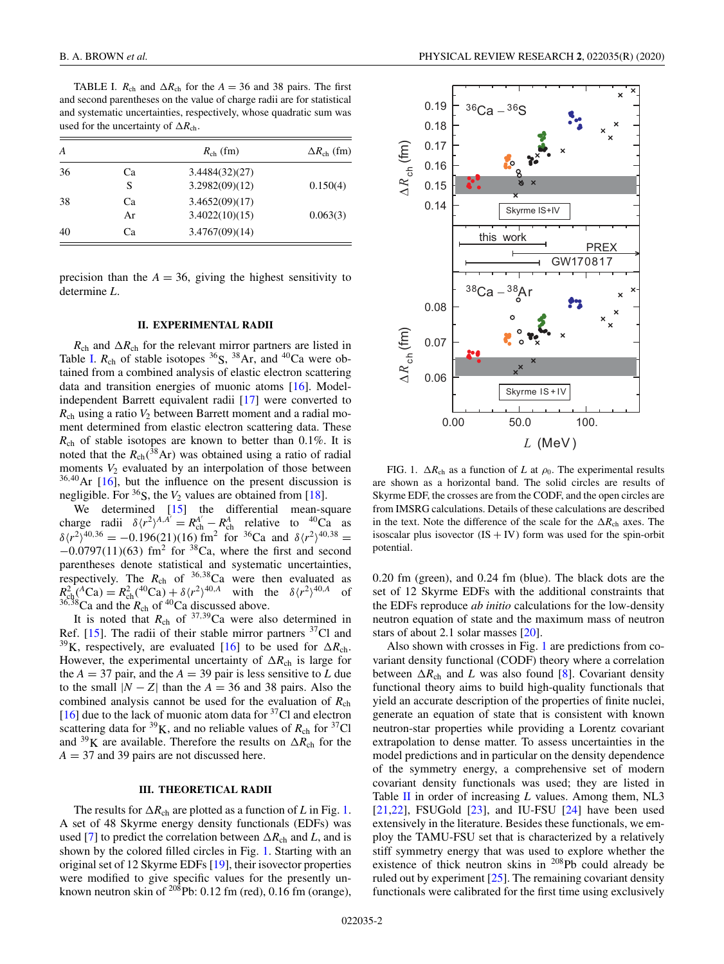TABLE I.  $R_{ch}$  and  $\Delta R_{ch}$  for the  $A = 36$  and 38 pairs. The first and second parentheses on the value of charge radii are for statistical and systematic uncertainties, respectively, whose quadratic sum was used for the uncertainty of  $\Delta R_{\text{ch}}$ .

| A  |          | $R_{ch}$ (fm)                    | $\Delta R_{\rm ch}$ (fm) |
|----|----------|----------------------------------|--------------------------|
| 36 | Ca<br>S  | 3.4484(32)(27)<br>3.2982(09)(12) | 0.150(4)                 |
| 38 | Ca<br>Ar | 3.4652(09)(17)<br>3.4022(10)(15) | 0.063(3)                 |
| 40 | Cа       | 3.4767(09)(14)                   |                          |

precision than the  $A = 36$ , giving the highest sensitivity to determine *L*.

## **II. EXPERIMENTAL RADII**

 $R_{ch}$  and  $\Delta R_{ch}$  for the relevant mirror partners are listed in Table I.  $R_{ch}$  of stable isotopes <sup>36</sup>S, <sup>38</sup>Ar, and <sup>40</sup>Ca were obtained from a combined analysis of elastic electron scattering data and transition energies of muonic atoms [16]. Modelindependent Barrett equivalent radii [17] were converted to  $R<sub>ch</sub>$  using a ratio  $V<sub>2</sub>$  between Barrett moment and a radial moment determined from elastic electron scattering data. These *R*ch of stable isotopes are known to better than 0.1%. It is noted that the  $R_{ch}({}^{38}\text{Ar})$  was obtained using a ratio of radial moments  $V_2$  evaluated by an interpolation of those between  $36,40$  Ar [16], but the influence on the present discussion is negligible. For  ${}^{36}S$ , the  $V_2$  values are obtained from [18].

We determined [15] the differential mean-square charge radii  $\delta \langle r^2 \rangle^{A, A'} = R_{\rm ch}^A - R_{\rm ch}^A$  relative to <sup>40</sup>Ca as  $\delta \langle r^2 \rangle^{40,36} = -0.196(21)(16)$  fm<sup>2</sup> for <sup>36</sup>Ca and  $\delta \langle r^2 \rangle^{40,38} =$  $-0.0797(11)(63)$  fm<sup>2</sup> for <sup>38</sup>Ca, where the first and second parentheses denote statistical and systematic uncertainties, respectively. The  $R_{ch}$  of <sup>36,38</sup>Ca were then evaluated as  $R_{\rm ch}^2 ({}^A \text{Ca}) = R_{\rm ch}^2 ({}^{40}\text{Ca}) + \delta \langle r^2 \rangle^{40,A}$  with the  $\delta \langle r^2 \rangle^{40,A}$  of  $^{36,38}$ Ca and the  $R_{ch}$  of <sup>40</sup>Ca discussed above.

It is noted that  $R_{ch}$  of  $37,39$ Ca were also determined in Ref.  $[15]$ . The radii of their stable mirror partners  ${}^{37}$ Cl and <sup>39</sup>K, respectively, are evaluated [16] to be used for  $\Delta R_{ch}$ . However, the experimental uncertainty of  $\Delta R_{ch}$  is large for the  $A = 37$  pair, and the  $A = 39$  pair is less sensitive to *L* due to the small  $|N - Z|$  than the  $A = 36$  and 38 pairs. Also the combined analysis cannot be used for the evaluation of *R*ch [16] due to the lack of muonic atom data for  $37$ Cl and electron scattering data for  ${}^{39}K$ , and no reliable values of  $R_{ch}$  for  ${}^{37}Cl$ and <sup>39</sup>K are available. Therefore the results on  $\Delta R_{ch}$  for the *A* = 37 and 39 pairs are not discussed here.

#### **III. THEORETICAL RADII**

The results for  $\Delta R_{ch}$  are plotted as a function of *L* in Fig. 1. A set of 48 Skyrme energy density functionals (EDFs) was used [7] to predict the correlation between  $\Delta R_{ch}$  and *L*, and is shown by the colored filled circles in Fig. 1. Starting with an original set of 12 Skyrme EDFs [19], their isovector properties were modified to give specific values for the presently unknown neutron skin of  $^{208}$ Pb: 0.12 fm (red), 0.16 fm (orange),



FIG. 1.  $\Delta R_{ch}$  as a function of *L* at  $\rho_0$ . The experimental results are shown as a horizontal band. The solid circles are results of Skyrme EDF, the crosses are from the CODF, and the open circles are from IMSRG calculations. Details of these calculations are described in the text. Note the difference of the scale for the  $\Delta R_{ch}$  axes. The isoscalar plus isovector  $(IS + IV)$  form was used for the spin-orbit potential.

0.20 fm (green), and 0.24 fm (blue). The black dots are the set of 12 Skyrme EDFs with the additional constraints that the EDFs reproduce *ab initio* calculations for the low-density neutron equation of state and the maximum mass of neutron stars of about 2.1 solar masses [20].

Also shown with crosses in Fig. 1 are predictions from covariant density functional (CODF) theory where a correlation between  $\Delta R_{\rm ch}$  and *L* was also found [8]. Covariant density functional theory aims to build high-quality functionals that yield an accurate description of the properties of finite nuclei, generate an equation of state that is consistent with known neutron-star properties while providing a Lorentz covariant extrapolation to dense matter. To assess uncertainties in the model predictions and in particular on the density dependence of the symmetry energy, a comprehensive set of modern covariant density functionals was used; they are listed in Table II in order of increasing *L* values. Among them, NL3  $[21,22]$ , FSUGold  $[23]$ , and IU-FSU  $[24]$  have been used extensively in the literature. Besides these functionals, we employ the TAMU-FSU set that is characterized by a relatively stiff symmetry energy that was used to explore whether the existence of thick neutron skins in <sup>208</sup>Pb could already be ruled out by experiment  $[25]$ . The remaining covariant density functionals were calibrated for the first time using exclusively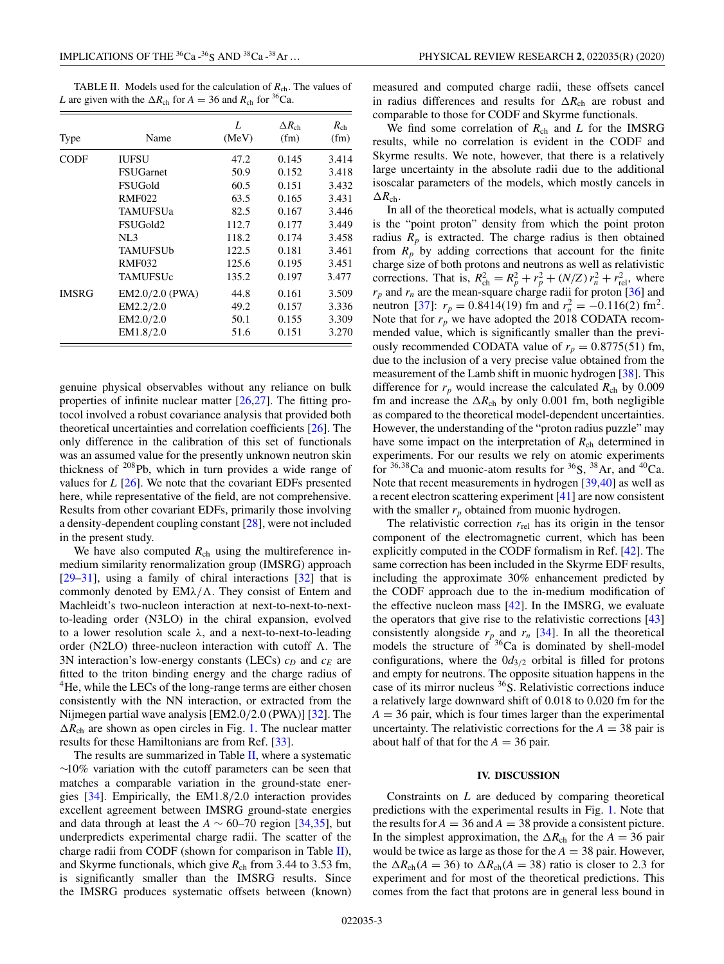TABLE II. Models used for the calculation of  $R_{ch}$ . The values of *L* are given with the  $\Delta R_{ch}$  for  $A = 36$  and  $R_{ch}$  for <sup>36</sup>Ca.

|              |                   | L     | $\Delta R_{\rm ch}$ | $R_{ch}$ |
|--------------|-------------------|-------|---------------------|----------|
| Type         | Name              | (MeV) | (fm)                | (fm)     |
| <b>CODF</b>  | <b>IUFSU</b>      | 47.2  | 0.145               | 3.414    |
|              | <b>FSUGarnet</b>  | 50.9  | 0.152               | 3.418    |
|              | FSUGold           | 60.5  | 0.151               | 3.432    |
|              | <b>RMF022</b>     | 63.5  | 0.165               | 3.431    |
|              | TAMUFSUa          | 82.5  | 0.167               | 3.446    |
|              | FSUGold2          | 112.7 | 0.177               | 3.449    |
|              | NL3               | 118.2 | 0.174               | 3.458    |
|              | <b>TAMUFSUb</b>   | 122.5 | 0.181               | 3.461    |
|              | <b>RMF032</b>     | 125.6 | 0.195               | 3.451    |
|              | TAMUFSUc          | 135.2 | 0.197               | 3.477    |
| <b>IMSRG</b> | $EM2.0/2.0$ (PWA) | 44.8  | 0.161               | 3.509    |
|              | EM2.2/2.0         | 49.2  | 0.157               | 3.336    |
|              | EM2.0/2.0         | 50.1  | 0.155               | 3.309    |
|              | EM1.8/2.0         | 51.6  | 0.151               | 3.270    |

genuine physical observables without any reliance on bulk properties of infinite nuclear matter [26,27]. The fitting protocol involved a robust covariance analysis that provided both theoretical uncertainties and correlation coefficients [26]. The only difference in the calibration of this set of functionals was an assumed value for the presently unknown neutron skin thickness of <sup>208</sup>Pb, which in turn provides a wide range of values for *L* [26]. We note that the covariant EDFs presented here, while representative of the field, are not comprehensive. Results from other covariant EDFs, primarily those involving a density-dependent coupling constant [28], were not included in the present study.

We have also computed  $R<sub>ch</sub>$  using the multireference inmedium similarity renormalization group (IMSRG) approach  $[29-31]$ , using a family of chiral interactions  $[32]$  that is commonly denoted by  $EM\lambda/\Lambda$ . They consist of Entem and Machleidt's two-nucleon interaction at next-to-next-to-nextto-leading order (N3LO) in the chiral expansion, evolved to a lower resolution scale  $\lambda$ , and a next-to-next-to-leading order (N2LO) three-nucleon interaction with cutoff  $\Lambda$ . The 3N interaction's low-energy constants (LECs) *c<sup>D</sup>* and *c<sup>E</sup>* are fitted to the triton binding energy and the charge radius of <sup>4</sup>He, while the LECs of the long-range terms are either chosen consistently with the NN interaction, or extracted from the Nijmegen partial wave analysis [EM2.0/2.0 (PWA)] [32]. The  $\Delta R_{ch}$  are shown as open circles in Fig. 1. The nuclear matter results for these Hamiltonians are from Ref. [33].

The results are summarized in Table II, where a systematic ∼10% variation with the cutoff parameters can be seen that matches a comparable variation in the ground-state energies [34]. Empirically, the EM1.8/2.0 interaction provides excellent agreement between IMSRG ground-state energies and data through at least the  $A \sim 60-70$  region [34,35], but underpredicts experimental charge radii. The scatter of the charge radii from CODF (shown for comparison in Table II), and Skyrme functionals, which give  $R_{ch}$  from 3.44 to 3.53 fm, is significantly smaller than the IMSRG results. Since the IMSRG produces systematic offsets between (known)

measured and computed charge radii, these offsets cancel in radius differences and results for  $\Delta R_{ch}$  are robust and comparable to those for CODF and Skyrme functionals.

We find some correlation of  $R<sub>ch</sub>$  and  $L$  for the IMSRG results, while no correlation is evident in the CODF and Skyrme results. We note, however, that there is a relatively large uncertainty in the absolute radii due to the additional isoscalar parameters of the models, which mostly cancels in  $\Delta R_{\rm ch}.$ 

In all of the theoretical models, what is actually computed is the "point proton" density from which the point proton radius  $R_p$  is extracted. The charge radius is then obtained from  $R_p$  by adding corrections that account for the finite charge size of both protons and neutrons as well as relativistic corrections. That is,  $R_{ch}^2 = R_p^2 + r_p^2 + (N/Z) r_n^2 + r_{rel}^2$ , where  $r_p$  and  $r_n$  are the mean-square charge radii for proton [36] and neutron [37]:  $r_p = 0.8414(19)$  fm and  $r_n^2 = -0.116(2)$  fm<sup>2</sup>. Note that for  $r_p$  we have adopted the 2018 CODATA recommended value, which is significantly smaller than the previously recommended CODATA value of  $r_p = 0.8775(51)$  fm, due to the inclusion of a very precise value obtained from the measurement of the Lamb shift in muonic hydrogen [38]. This difference for  $r_p$  would increase the calculated  $R_{ch}$  by 0.009 fm and increase the  $\Delta R_{ch}$  by only 0.001 fm, both negligible as compared to the theoretical model-dependent uncertainties. However, the understanding of the "proton radius puzzle" may have some impact on the interpretation of  $R<sub>ch</sub>$  determined in experiments. For our results we rely on atomic experiments for  $36,38$ Ca and muonic-atom results for  $36S$ ,  $38Ar$ , and  $40Ca$ . Note that recent measurements in hydrogen [39,40] as well as a recent electron scattering experiment [41] are now consistent with the smaller  $r_p$  obtained from muonic hydrogen.

The relativistic correction  $r_{\text{rel}}$  has its origin in the tensor component of the electromagnetic current, which has been explicitly computed in the CODF formalism in Ref. [42]. The same correction has been included in the Skyrme EDF results, including the approximate 30% enhancement predicted by the CODF approach due to the in-medium modification of the effective nucleon mass  $[42]$ . In the IMSRG, we evaluate the operators that give rise to the relativistic corrections [43] consistently alongside  $r_p$  and  $r_n$  [34]. In all the theoretical models the structure of  $36$ Ca is dominated by shell-model configurations, where the  $0d_{3/2}$  orbital is filled for protons and empty for neutrons. The opposite situation happens in the case of its mirror nucleus  $36S$ . Relativistic corrections induce a relatively large downward shift of 0.018 to 0.020 fm for the  $A = 36$  pair, which is four times larger than the experimental uncertainty. The relativistic corrections for the  $A = 38$  pair is about half of that for the  $A = 36$  pair.

#### **IV. DISCUSSION**

Constraints on *L* are deduced by comparing theoretical predictions with the experimental results in Fig. 1. Note that the results for  $A = 36$  and  $A = 38$  provide a consistent picture. In the simplest approximation, the  $\Delta R_{ch}$  for the  $A = 36$  pair would be twice as large as those for the  $A = 38$  pair. However, the  $\Delta R_{\rm ch}(A = 36)$  to  $\Delta R_{\rm ch}(A = 38)$  ratio is closer to 2.3 for experiment and for most of the theoretical predictions. This comes from the fact that protons are in general less bound in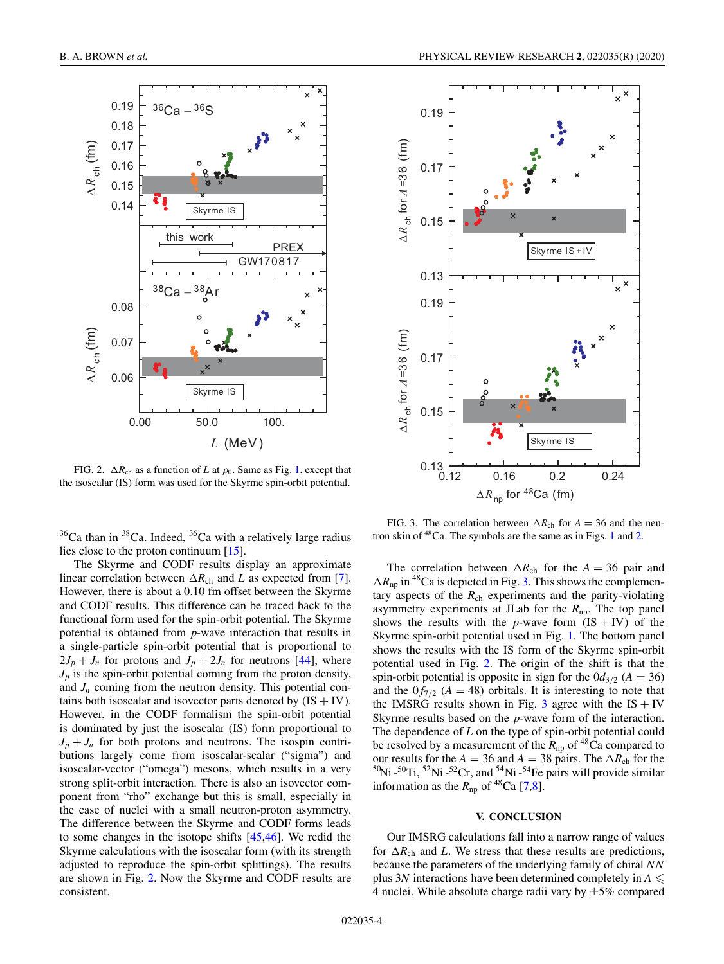

FIG. 2.  $\Delta R_{ch}$  as a function of *L* at  $\rho_0$ . Same as Fig. 1, except that the isoscalar (IS) form was used for the Skyrme spin-orbit potential.

 $36$ Ca than in  $38$ Ca. Indeed,  $36$ Ca with a relatively large radius lies close to the proton continuum [15].

The Skyrme and CODF results display an approximate linear correlation between  $\Delta R_{ch}$  and *L* as expected from [7]. However, there is about a 0.10 fm offset between the Skyrme and CODF results. This difference can be traced back to the functional form used for the spin-orbit potential. The Skyrme potential is obtained from *p*-wave interaction that results in a single-particle spin-orbit potential that is proportional to  $2J_p + J_n$  for protons and  $J_p + 2J_n$  for neutrons [44], where  $J_p$  is the spin-orbit potential coming from the proton density, and  $J_n$  coming from the neutron density. This potential contains both isoscalar and isovector parts denoted by  $(IS + IV)$ . However, in the CODF formalism the spin-orbit potential is dominated by just the isoscalar (IS) form proportional to  $J_p + J_n$  for both protons and neutrons. The isospin contributions largely come from isoscalar-scalar ("sigma") and isoscalar-vector ("omega") mesons, which results in a very strong split-orbit interaction. There is also an isovector component from "rho" exchange but this is small, especially in the case of nuclei with a small neutron-proton asymmetry. The difference between the Skyrme and CODF forms leads to some changes in the isotope shifts [45,46]. We redid the Skyrme calculations with the isoscalar form (with its strength adjusted to reproduce the spin-orbit splittings). The results are shown in Fig. 2. Now the Skyrme and CODF results are consistent.



FIG. 3. The correlation between  $\Delta R_{ch}$  for  $A = 36$  and the neutron skin of <sup>48</sup>Ca. The symbols are the same as in Figs. 1 and 2.

The correlation between  $\Delta R_{ch}$  for the  $A = 36$  pair and  $\Delta R_{\text{np}}$  in <sup>48</sup>Ca is depicted in Fig. 3. This shows the complementary aspects of the  $R<sub>ch</sub>$  experiments and the parity-violating asymmetry experiments at JLab for the *R*np. The top panel shows the results with the *p*-wave form  $(IS + IV)$  of the Skyrme spin-orbit potential used in Fig. 1. The bottom panel shows the results with the IS form of the Skyrme spin-orbit potential used in Fig. 2. The origin of the shift is that the spin-orbit potential is opposite in sign for the  $0d_{3/2}$  ( $A = 36$ ) and the  $0f_{7/2}$  ( $A = 48$ ) orbitals. It is interesting to note that the IMSRG results shown in Fig. 3 agree with the  $IS + IV$ Skyrme results based on the *p*-wave form of the interaction. The dependence of *L* on the type of spin-orbit potential could be resolved by a measurement of the  $R_{np}$  of <sup>48</sup>Ca compared to our results for the  $A = 36$  and  $A = 38$  pairs. The  $\Delta R_{ch}$  for the  $50$ Ni - $50$ Ti,  $52$ Ni - $52$ Cr, and  $54$ Ni - $54$ Fe pairs will provide similar information as the  $R_{np}$  of <sup>48</sup>Ca [7,8].

### **V. CONCLUSION**

Our IMSRG calculations fall into a narrow range of values for  $\Delta R_{\rm ch}$  and *L*. We stress that these results are predictions, because the parameters of the underlying family of chiral *NN* plus 3*N* interactions have been determined completely in  $A \leq$ 4 nuclei. While absolute charge radii vary by  $\pm 5\%$  compared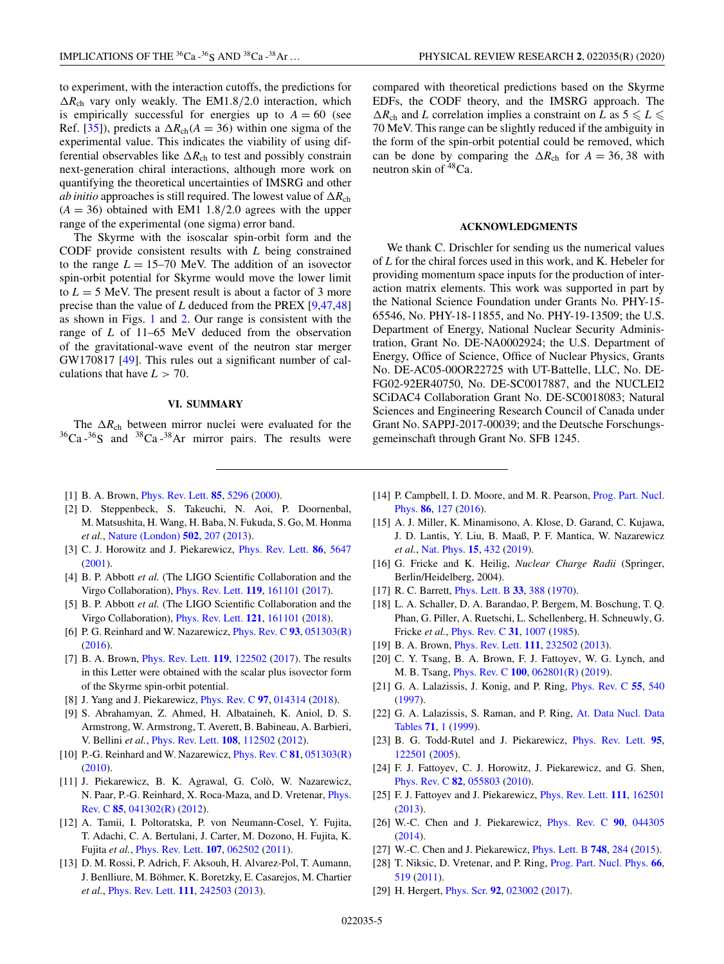to experiment, with the interaction cutoffs, the predictions for  $\Delta R_{ch}$  vary only weakly. The EM1.8/2.0 interaction, which is empirically successful for energies up to  $A = 60$  (see Ref. [35]), predicts a  $\Delta R_{ch}(A = 36)$  within one sigma of the experimental value. This indicates the viability of using differential observables like  $\Delta R_{ch}$  to test and possibly constrain next-generation chiral interactions, although more work on quantifying the theoretical uncertainties of IMSRG and other *ab initio* approaches is still required. The lowest value of  $\Delta R_{ch}$  $(A = 36)$  obtained with EM1 1.8/2.0 agrees with the upper range of the experimental (one sigma) error band.

The Skyrme with the isoscalar spin-orbit form and the CODF provide consistent results with *L* being constrained to the range  $L = 15{\text -}70$  MeV. The addition of an isovector spin-orbit potential for Skyrme would move the lower limit to  $L = 5$  MeV. The present result is about a factor of 3 more precise than the value of *L* deduced from the PREX [9,47,48] as shown in Figs. 1 and 2. Our range is consistent with the range of *L* of 11–65 MeV deduced from the observation of the gravitational-wave event of the neutron star merger GW170817 [49]. This rules out a significant number of calculations that have  $L > 70$ .

#### **VI. SUMMARY**

The  $\Delta R_{ch}$  between mirror nuclei were evaluated for the  ${}^{36}Ca$  - ${}^{36}S$  and  ${}^{38}Ca$  - ${}^{38}Ar$  mirror pairs. The results were compared with theoretical predictions based on the Skyrme EDFs, the CODF theory, and the IMSRG approach. The  $\Delta R_{ch}$  and *L* correlation implies a constraint on *L* as  $5 \le L \le$ 70 MeV. This range can be slightly reduced if the ambiguity in the form of the spin-orbit potential could be removed, which can be done by comparing the  $\Delta R_{ch}$  for  $A = 36, 38$  with neutron skin of  $48Ca$ .

#### **ACKNOWLEDGMENTS**

We thank C. Drischler for sending us the numerical values of *L* for the chiral forces used in this work, and K. Hebeler for providing momentum space inputs for the production of interaction matrix elements. This work was supported in part by the National Science Foundation under Grants No. PHY-15- 65546, No. PHY-18-11855, and No. PHY-19-13509; the U.S. Department of Energy, National Nuclear Security Administration, Grant No. DE-NA0002924; the U.S. Department of Energy, Office of Science, Office of Nuclear Physics, Grants No. DE-AC05-00OR22725 with UT-Battelle, LLC, No. DE-FG02-92ER40750, No. DE-SC0017887, and the NUCLEI2 SCiDAC4 Collaboration Grant No. DE-SC0018083; Natural Sciences and Engineering Research Council of Canada under Grant No. SAPPJ-2017-00039; and the Deutsche Forschungsgemeinschaft through Grant No. SFB 1245.

- [1] B. A. Brown, Phys. Rev. Lett. **85**, 5296 (2000).
- [2] D. Steppenbeck, S. Takeuchi, N. Aoi, P. Doornenbal, M. Matsushita, H. Wang, H. Baba, N. Fukuda, S. Go, M. Honma *et al.*, Nature (London) **502**, 207 (2013).
- [3] C. J. Horowitz and J. Piekarewicz, Phys. Rev. Lett. **86**, 5647 (2001).
- [4] B. P. Abbott *et al.* (The LIGO Scientific Collaboration and the Virgo Collaboration), Phys. Rev. Lett. **119**, 161101 (2017).
- [5] B. P. Abbott *et al.* (The LIGO Scientific Collaboration and the Virgo Collaboration), Phys. Rev. Lett. **121**, 161101 (2018).
- [6] P. G. Reinhard and W. Nazarewicz, Phys. Rev. C **93**, 051303(R) (2016).
- [7] B. A. Brown, Phys. Rev. Lett. **119**, 122502 (2017). The results in this Letter were obtained with the scalar plus isovector form of the Skyrme spin-orbit potential.
- [8] J. Yang and J. Piekarewicz, Phys. Rev. C **97**, 014314 (2018).
- [9] S. Abrahamyan, Z. Ahmed, H. Albataineh, K. Aniol, D. S. Armstrong, W. Armstrong, T. Averett, B. Babineau, A. Barbieri, V. Bellini *et al.*, Phys. Rev. Lett. **108**, 112502 (2012).
- [10] P.-G. Reinhard and W. Nazarewicz, Phys. Rev. C **81**, 051303(R) (2010).
- [11] J. Piekarewicz, B. K. Agrawal, G. Colò, W. Nazarewicz, N. Paar, P.-G. Reinhard, X. Roca-Maza, and D. Vretenar, Phys. Rev. C **85**, 041302(R) (2012).
- [12] A. Tamii, I. Poltoratska, P. von Neumann-Cosel, Y. Fujita, T. Adachi, C. A. Bertulani, J. Carter, M. Dozono, H. Fujita, K. Fujita *et al.*, Phys. Rev. Lett. **107**, 062502 (2011).
- [13] D. M. Rossi, P. Adrich, F. Aksouh, H. Alvarez-Pol, T. Aumann, J. Benlliure, M. Böhmer, K. Boretzky, E. Casarejos, M. Chartier *et al.*, Phys. Rev. Lett. **111**, 242503 (2013).
- [14] P. Campbell, I. D. Moore, and M. R. Pearson, Prog. Part. Nucl. Phys. **86**, 127 (2016).
- [15] A. J. Miller, K. Minamisono, A. Klose, D. Garand, C. Kujawa, J. D. Lantis, Y. Liu, B. Maaß, P. F. Mantica, W. Nazarewicz *et al.*, Nat. Phys. **15**, 432 (2019).
- [16] G. Fricke and K. Heilig, *Nuclear Charge Radii* (Springer, Berlin/Heidelberg, 2004).
- [17] R. C. Barrett, Phys. Lett. B **33**, 388 (1970).
- [18] L. A. Schaller, D. A. Barandao, P. Bergem, M. Boschung, T. Q. Phan, G. Piller, A. Ruetschi, L. Schellenberg, H. Schneuwly, G. Fricke *et al.*, Phys. Rev. C **31**, 1007 (1985).
- [19] B. A. Brown, Phys. Rev. Lett. **111**, 232502 (2013).
- [20] C. Y. Tsang, B. A. Brown, F. J. Fattoyev, W. G. Lynch, and M. B. Tsang, Phys. Rev. C **100**, 062801(R) (2019).
- [21] G. A. Lalazissis, J. Konig, and P. Ring, Phys. Rev. C **55**, 540 (1997).
- [22] G. A. Lalazissis, S. Raman, and P. Ring, At. Data Nucl. Data Tables **71**, 1 (1999).
- [23] B. G. Todd-Rutel and J. Piekarewicz, Phys. Rev. Lett. **95**, 122501 (2005).
- [24] F. J. Fattoyev, C. J. Horowitz, J. Piekarewicz, and G. Shen, Phys. Rev. C **82**, 055803 (2010).
- [25] F. J. Fattoyev and J. Piekarewicz, Phys. Rev. Lett. **111**, 162501 (2013).
- [26] W.-C. Chen and J. Piekarewicz, Phys. Rev. C **90**, 044305 (2014).
- [27] W.-C. Chen and J. Piekarewicz, Phys. Lett. B **748**, 284 (2015).
- [28] T. Niksic, D. Vretenar, and P. Ring, Prog. Part. Nucl. Phys. **66**, 519 (2011).
- [29] H. Hergert, Phys. Scr. **92**, 023002 (2017).